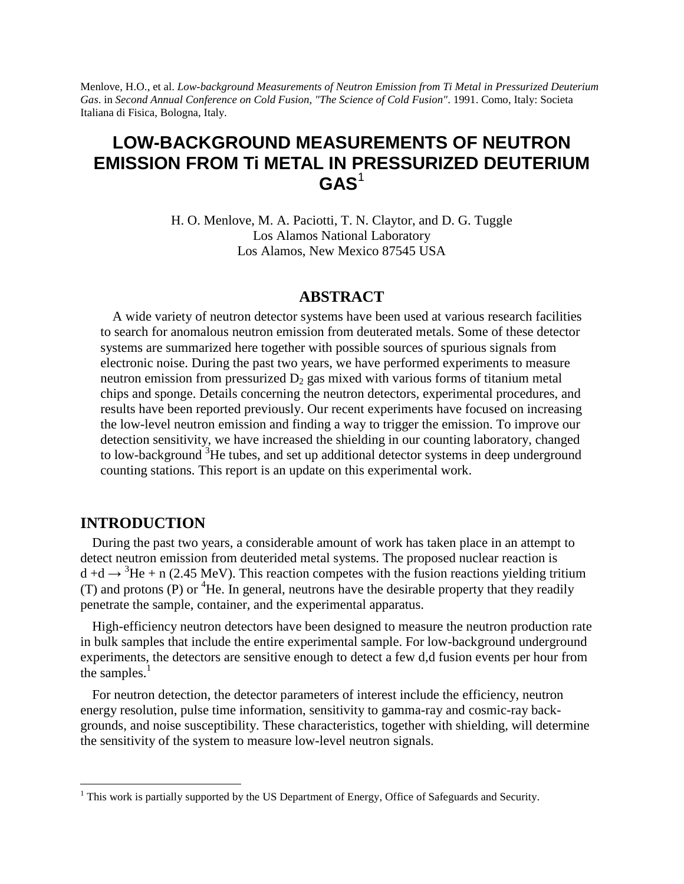Menlove, H.O., et al. *Low-background Measurements of Neutron Emission from Ti Metal in Pressurized Deuterium Gas*. in *Second Annual Conference on Cold Fusion, "The Science of Cold Fusion"*. 1991. Como, Italy: Societa Italiana di Fisica, Bologna, Italy.

# **LOW-BACKGROUND MEASUREMENTS OF NEUTRON EMISSION FROM Ti METAL IN PRESSURIZED DEUTERIUM GAS**<sup>1</sup>

H. O. Menlove, M. A. Paciotti, T. N. Claytor, and D. G. Tuggle Los Alamos National Laboratory Los Alamos, New Mexico 87545 USA

#### **ABSTRACT**

A wide variety of neutron detector systems have been used at various research facilities to search for anomalous neutron emission from deuterated metals. Some of these detector systems are summarized here together with possible sources of spurious signals from electronic noise. During the past two years, we have performed experiments to measure neutron emission from pressurized  $D_2$  gas mixed with various forms of titanium metal chips and sponge. Details concerning the neutron detectors, experimental procedures, and results have been reported previously. Our recent experiments have focused on increasing the low-level neutron emission and finding a way to trigger the emission. To improve our detection sensitivity, we have increased the shielding in our counting laboratory, changed to low-background <sup>3</sup>He tubes, and set up additional detector systems in deep underground counting stations. This report is an update on this experimental work.

### **INTRODUCTION**

During the past two years, a considerable amount of work has taken place in an attempt to detect neutron emission from deuterided metal systems. The proposed nuclear reaction is  $d + d \rightarrow {}^{3}He + n$  (2.45 MeV). This reaction competes with the fusion reactions yielding tritium (T) and protons (P) or  ${}^{4}$ He. In general, neutrons have the desirable property that they readily penetrate the sample, container, and the experimental apparatus.

High-efficiency neutron detectors have been designed to measure the neutron production rate in bulk samples that include the entire experimental sample. For low-background underground experiments, the detectors are sensitive enough to detect a few d,d fusion events per hour from the samples. $<sup>1</sup>$ </sup>

For neutron detection, the detector parameters of interest include the efficiency, neutron energy resolution, pulse time information, sensitivity to gamma-ray and cosmic-ray backgrounds, and noise susceptibility. These characteristics, together with shielding, will determine the sensitivity of the system to measure low-level neutron signals.

<sup>&</sup>lt;sup>1</sup> This work is partially supported by the US Department of Energy, Office of Safeguards and Security.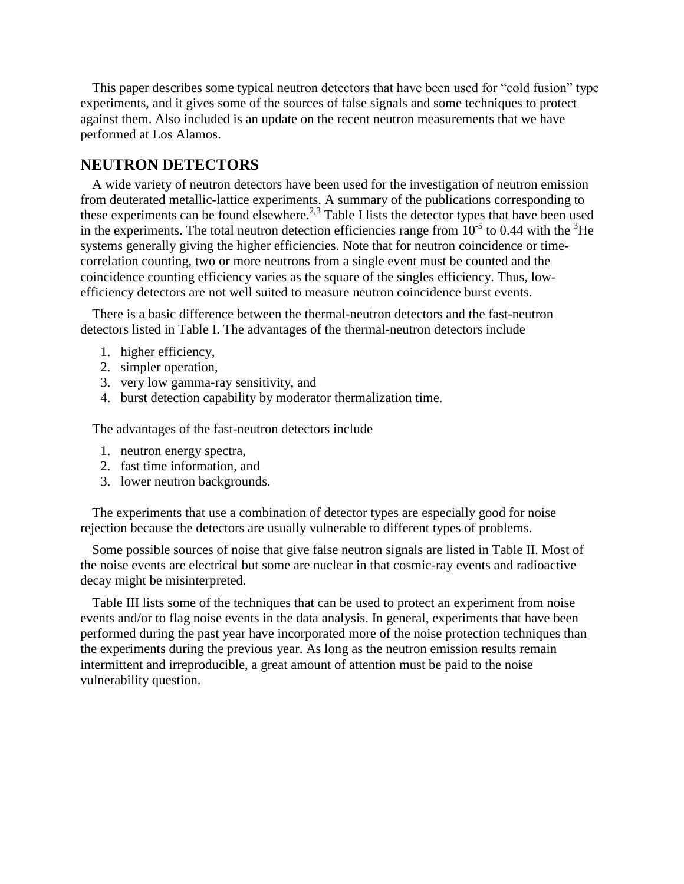This paper describes some typical neutron detectors that have been used for "cold fusion" type experiments, and it gives some of the sources of false signals and some techniques to protect against them. Also included is an update on the recent neutron measurements that we have performed at Los Alamos.

### **NEUTRON DETECTORS**

A wide variety of neutron detectors have been used for the investigation of neutron emission from deuterated metallic-lattice experiments. A summary of the publications corresponding to these experiments can be found elsewhere.<sup>2,3</sup> Table I lists the detector types that have been used in the experiments. The total neutron detection efficiencies range from  $10^{-5}$  to 0.44 with the <sup>3</sup>He systems generally giving the higher efficiencies. Note that for neutron coincidence or timecorrelation counting, two or more neutrons from a single event must be counted and the coincidence counting efficiency varies as the square of the singles efficiency. Thus, lowefficiency detectors are not well suited to measure neutron coincidence burst events.

There is a basic difference between the thermal-neutron detectors and the fast-neutron detectors listed in Table I. The advantages of the thermal-neutron detectors include

- 1. higher efficiency,
- 2. simpler operation,
- 3. very low gamma-ray sensitivity, and
- 4. burst detection capability by moderator thermalization time.

The advantages of the fast-neutron detectors include

- 1. neutron energy spectra,
- 2. fast time information, and
- 3. lower neutron backgrounds.

The experiments that use a combination of detector types are especially good for noise rejection because the detectors are usually vulnerable to different types of problems.

Some possible sources of noise that give false neutron signals are listed in Table II. Most of the noise events are electrical but some are nuclear in that cosmic-ray events and radioactive decay might be misinterpreted.

Table III lists some of the techniques that can be used to protect an experiment from noise events and/or to flag noise events in the data analysis. In general, experiments that have been performed during the past year have incorporated more of the noise protection techniques than the experiments during the previous year. As long as the neutron emission results remain intermittent and irreproducible, a great amount of attention must be paid to the noise vulnerability question.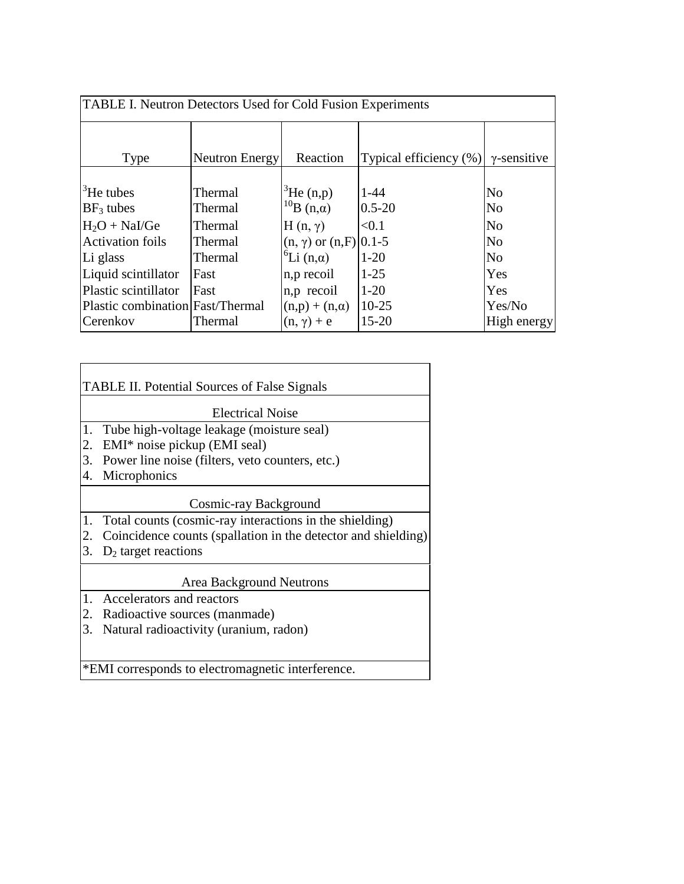| TABLE I. Neutron Detectors Used for Cold Fusion Experiments |                |                                 |                        |                     |  |  |  |  |  |
|-------------------------------------------------------------|----------------|---------------------------------|------------------------|---------------------|--|--|--|--|--|
|                                                             |                |                                 |                        |                     |  |  |  |  |  |
| Type                                                        | Neutron Energy |                                 | Typical efficiency (%) | $\gamma$ -sensitive |  |  |  |  |  |
|                                                             |                |                                 |                        |                     |  |  |  |  |  |
| ${}^{3}$ He tubes                                           | Thermal        | ${}^{3}$ He (n,p)               | $1 - 44$               | N <sub>o</sub>      |  |  |  |  |  |
| $BF_3$ tubes                                                | Thermal        | $^{10}$ B (n, a)                | $0.5 - 20$             | N <sub>o</sub>      |  |  |  |  |  |
| $H_2O + NaI/Ge$                                             | Thermal        | $H(n, \gamma)$                  | < 0.1                  | N <sub>0</sub>      |  |  |  |  |  |
| <b>Activation foils</b>                                     | Thermal        | $(n, \gamma)$ or $(n, F)$ 0.1-5 |                        | N <sub>0</sub>      |  |  |  |  |  |
| Li glass                                                    | Thermal        | ${}^6Li$ (n,a)                  | $1 - 20$               | N <sub>0</sub>      |  |  |  |  |  |
| Liquid scintillator                                         | Fast           | n, p recoil                     | $1 - 25$               | Yes                 |  |  |  |  |  |
| Plastic scintillator                                        | Fast           | n, p recoil                     | $1-20$                 | Yes                 |  |  |  |  |  |
| Plastic combination Fast/Thermal                            |                | $(n,p) + (n,\alpha)$            | $10 - 25$              | Yes/No              |  |  |  |  |  |
| Cerenkov                                                    | Thermal        | $(n, \gamma) + e$               | $15 - 20$              | High energy         |  |  |  |  |  |

|    | <b>TABLE II. Potential Sources of False Signals</b>           |  |  |  |  |  |  |
|----|---------------------------------------------------------------|--|--|--|--|--|--|
|    | <b>Electrical Noise</b>                                       |  |  |  |  |  |  |
| 1. | Tube high-voltage leakage (moisture seal)                     |  |  |  |  |  |  |
| 2. | EMI* noise pickup (EMI seal)                                  |  |  |  |  |  |  |
| 3. | Power line noise (filters, veto counters, etc.)               |  |  |  |  |  |  |
| 4. | Microphonics                                                  |  |  |  |  |  |  |
|    | Cosmic-ray Background                                         |  |  |  |  |  |  |
| 1. | Total counts (cosmic-ray interactions in the shielding)       |  |  |  |  |  |  |
| 2. | Coincidence counts (spallation in the detector and shielding) |  |  |  |  |  |  |
| 3. | $D_2$ target reactions                                        |  |  |  |  |  |  |
|    | Area Background Neutrons                                      |  |  |  |  |  |  |
| 1. | Accelerators and reactors                                     |  |  |  |  |  |  |
| 2. | Radioactive sources (manmade)                                 |  |  |  |  |  |  |
| 3. | Natural radioactivity (uranium, radon)                        |  |  |  |  |  |  |
|    |                                                               |  |  |  |  |  |  |

\*EMI corresponds to electromagnetic interference.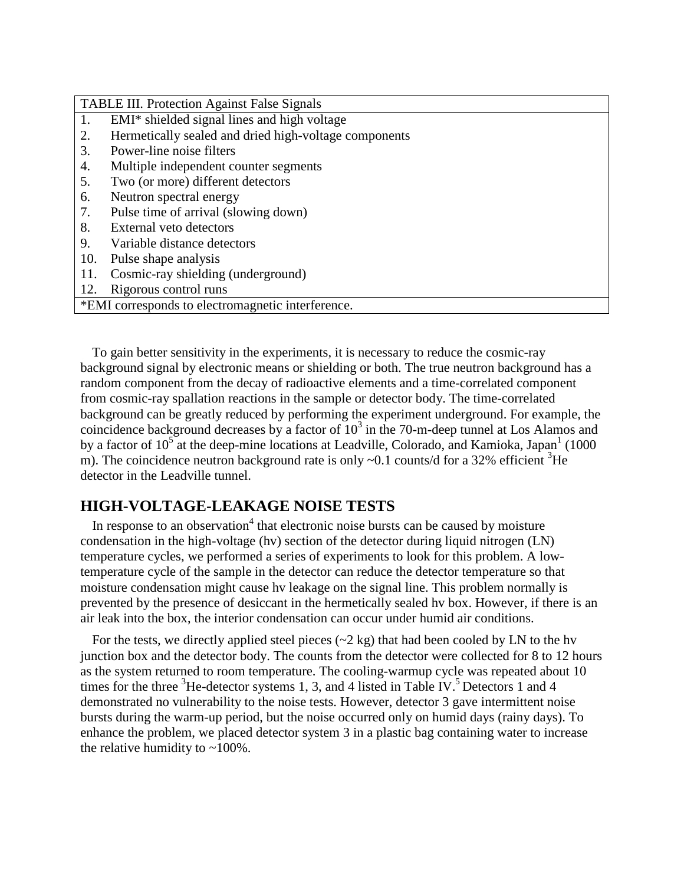| <b>TABLE III. Protection Against False Signals</b>    |  |  |  |  |
|-------------------------------------------------------|--|--|--|--|
| EMI* shielded signal lines and high voltage<br>1.     |  |  |  |  |
| Hermetically sealed and dried high-voltage components |  |  |  |  |
| Power-line noise filters<br>3.                        |  |  |  |  |
| 4.<br>Multiple independent counter segments           |  |  |  |  |
| Two (or more) different detectors<br>5.               |  |  |  |  |
| Neutron spectral energy<br>6.                         |  |  |  |  |
| Pulse time of arrival (slowing down)<br>7.            |  |  |  |  |
| External veto detectors<br>8.                         |  |  |  |  |
| 9.<br>Variable distance detectors                     |  |  |  |  |
| 10.<br>Pulse shape analysis                           |  |  |  |  |
| Cosmic-ray shielding (underground)<br>11.             |  |  |  |  |
| Rigorous control runs<br>12.                          |  |  |  |  |
| *EMI corresponds to electromagnetic interference.     |  |  |  |  |

To gain better sensitivity in the experiments, it is necessary to reduce the cosmic-ray background signal by electronic means or shielding or both. The true neutron background has a random component from the decay of radioactive elements and a time-correlated component from cosmic-ray spallation reactions in the sample or detector body. The time-correlated background can be greatly reduced by performing the experiment underground. For example, the coincidence background decreases by a factor of  $10^3$  in the 70-m-deep tunnel at Los Alamos and by a factor of  $10^5$  at the deep-mine locations at Leadville, Colorado, and Kamioka, Japan<sup>1</sup> (1000) m). The coincidence neutron background rate is only  $\sim 0.1$  counts/d for a 32% efficient <sup>3</sup>He detector in the Leadville tunnel.

## **HIGH-VOLTAGE-LEAKAGE NOISE TESTS**

In response to an observation<sup>4</sup> that electronic noise bursts can be caused by moisture condensation in the high-voltage (hv) section of the detector during liquid nitrogen (LN) temperature cycles, we performed a series of experiments to look for this problem. A lowtemperature cycle of the sample in the detector can reduce the detector temperature so that moisture condensation might cause hv leakage on the signal line. This problem normally is prevented by the presence of desiccant in the hermetically sealed hv box. However, if there is an air leak into the box, the interior condensation can occur under humid air conditions.

For the tests, we directly applied steel pieces  $(\sim 2 \text{ kg})$  that had been cooled by LN to the hv junction box and the detector body. The counts from the detector were collected for 8 to 12 hours as the system returned to room temperature. The cooling-warmup cycle was repeated about 10 times for the three  ${}^{3}$ He-detector systems 1, 3, and 4 listed in Table IV.<sup>5</sup> Detectors 1 and 4 demonstrated no vulnerability to the noise tests. However, detector 3 gave intermittent noise bursts during the warm-up period, but the noise occurred only on humid days (rainy days). To enhance the problem, we placed detector system 3 in a plastic bag containing water to increase the relative humidity to  $\sim$  100%.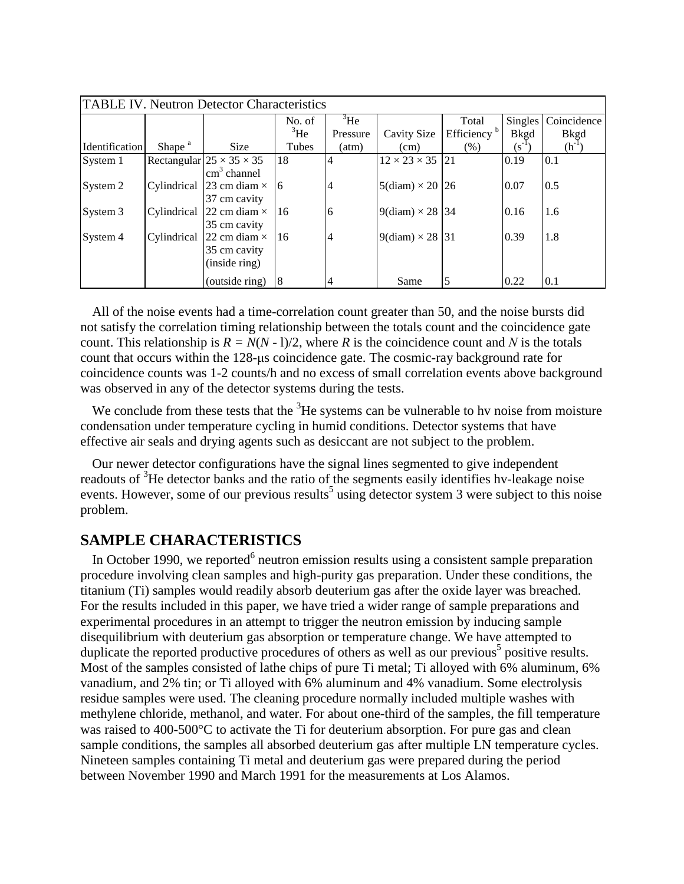| <b>TABLE IV. Neutron Detector Characteristics</b> |                    |                                      |             |                              |                             |                         |             |                       |  |  |
|---------------------------------------------------|--------------------|--------------------------------------|-------------|------------------------------|-----------------------------|-------------------------|-------------|-----------------------|--|--|
|                                                   |                    |                                      | No. of      | $\mathrm{H}$ <sup>3</sup> He |                             | Total                   |             | Singles   Coincidence |  |  |
|                                                   |                    |                                      | ${}^{3}$ He | Pressure                     | Cavity Size                 | Efficiency <sup>b</sup> | <b>Bkgd</b> | <b>Bkgd</b>           |  |  |
| <b>Identification</b>                             | Shape <sup>a</sup> | <b>Size</b>                          | Tubes       | (atm)                        | (cm)                        | (% )                    | $(S^{-1})$  | $(h^{-1})$            |  |  |
| System 1                                          |                    | Rectangular $25 \times 35 \times 35$ | 18          | $\overline{4}$               | $12 \times 23 \times 35$    | 21                      | 0.19        | 0.1                   |  |  |
|                                                   |                    | $\text{cm}^3$ channel                |             |                              |                             |                         |             |                       |  |  |
| System 2                                          | Cylindrical        | 23 cm diam $\times$                  | -16         | $\overline{4}$               | $5$ (diam) $\times$ 20   26 |                         | 0.07        | 0.5                   |  |  |
|                                                   |                    | 37 cm cavity                         |             |                              |                             |                         |             |                       |  |  |
| System 3                                          | Cylindrical        | 22 cm diam $\times$                  | 16          | 6                            | $9$ (diam) $\times$ 28 34   |                         | 0.16        | 1.6                   |  |  |
|                                                   |                    | 35 cm cavity                         |             |                              |                             |                         |             |                       |  |  |
| System 4                                          | Cylindrical        | 22 cm diam $\times$                  | 16          | $\overline{4}$               | $9$ (diam) $\times$ 28 31   |                         | 0.39        | 1.8                   |  |  |
|                                                   |                    | 35 cm cavity                         |             |                              |                             |                         |             |                       |  |  |
|                                                   |                    | (inside ring)                        |             |                              |                             |                         |             |                       |  |  |
|                                                   |                    | (outside ring)                       | 8           | $\overline{4}$               | Same                        | 5                       | 0.22        | 0.1                   |  |  |

All of the noise events had a time-correlation count greater than 50, and the noise bursts did not satisfy the correlation timing relationship between the totals count and the coincidence gate count. This relationship is  $R = N(N - 1)/2$ , where *R* is the coincidence count and *N* is the totals count that occurs within the 128-μs coincidence gate. The cosmic-ray background rate for coincidence counts was 1-2 counts/h and no excess of small correlation events above background was observed in any of the detector systems during the tests.

We conclude from these tests that the  ${}^{3}$ He systems can be vulnerable to hv noise from moisture condensation under temperature cycling in humid conditions. Detector systems that have effective air seals and drying agents such as desiccant are not subject to the problem.

Our newer detector configurations have the signal lines segmented to give independent readouts of <sup>3</sup>He detector banks and the ratio of the segments easily identifies hv-leakage noise events. However, some of our previous results<sup>5</sup> using detector system 3 were subject to this noise problem.

### **SAMPLE CHARACTERISTICS**

In October 1990, we reported $6$  neutron emission results using a consistent sample preparation procedure involving clean samples and high-purity gas preparation. Under these conditions, the titanium (Ti) samples would readily absorb deuterium gas after the oxide layer was breached. For the results included in this paper, we have tried a wider range of sample preparations and experimental procedures in an attempt to trigger the neutron emission by inducing sample disequilibrium with deuterium gas absorption or temperature change. We have attempted to duplicate the reported productive procedures of others as well as our previous<sup>5</sup> positive results. Most of the samples consisted of lathe chips of pure Ti metal; Ti alloyed with 6% aluminum, 6% vanadium, and 2% tin; or Ti alloyed with 6% aluminum and 4% vanadium. Some electrolysis residue samples were used. The cleaning procedure normally included multiple washes with methylene chloride, methanol, and water. For about one-third of the samples, the fill temperature was raised to 400-500°C to activate the Ti for deuterium absorption. For pure gas and clean sample conditions, the samples all absorbed deuterium gas after multiple LN temperature cycles. Nineteen samples containing Ti metal and deuterium gas were prepared during the period between November 1990 and March 1991 for the measurements at Los Alamos.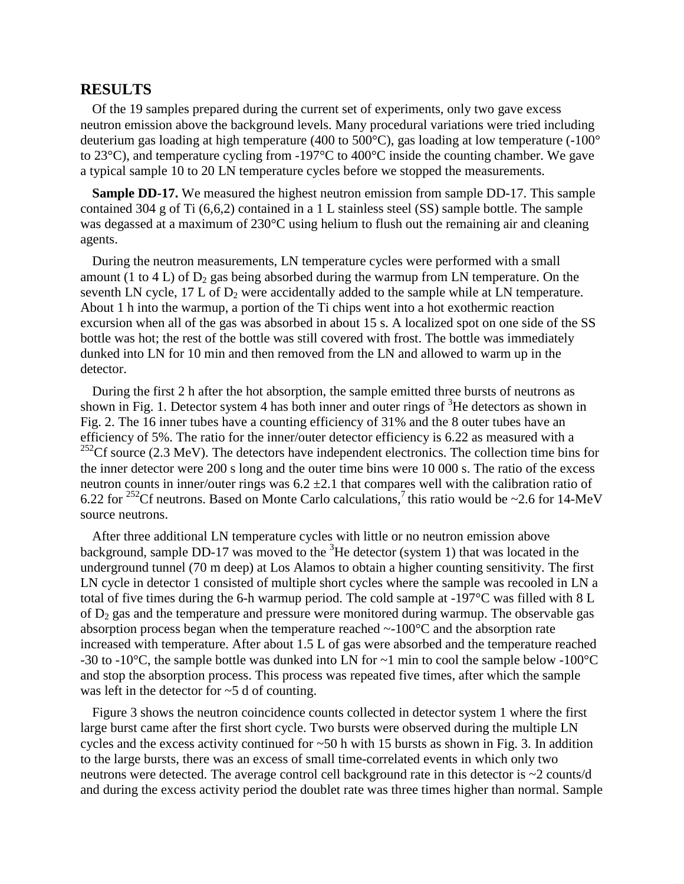#### **RESULTS**

Of the 19 samples prepared during the current set of experiments, only two gave excess neutron emission above the background levels. Many procedural variations were tried including deuterium gas loading at high temperature (400 to 500°C), gas loading at low temperature (-100° to 23°C), and temperature cycling from -197°C to 400°C inside the counting chamber. We gave a typical sample 10 to 20 LN temperature cycles before we stopped the measurements.

**Sample DD-17.** We measured the highest neutron emission from sample DD-17. This sample contained 304 g of Ti (6,6,2) contained in a 1 L stainless steel (SS) sample bottle. The sample was degassed at a maximum of 230°C using helium to flush out the remaining air and cleaning agents.

During the neutron measurements, LN temperature cycles were performed with a small amount (1 to 4 L) of  $D_2$  gas being absorbed during the warmup from LN temperature. On the seventh LN cycle,  $17$  L of  $D_2$  were accidentally added to the sample while at LN temperature. About 1 h into the warmup, a portion of the Ti chips went into a hot exothermic reaction excursion when all of the gas was absorbed in about 15 s. A localized spot on one side of the SS bottle was hot; the rest of the bottle was still covered with frost. The bottle was immediately dunked into LN for 10 min and then removed from the LN and allowed to warm up in the detector.

During the first 2 h after the hot absorption, the sample emitted three bursts of neutrons as shown in Fig. 1. Detector system 4 has both inner and outer rings of  ${}^{3}$ He detectors as shown in Fig. 2. The 16 inner tubes have a counting efficiency of 31% and the 8 outer tubes have an efficiency of 5%. The ratio for the inner/outer detector efficiency is 6.22 as measured with a  $252$ Cf source (2.3 MeV). The detectors have independent electronics. The collection time bins for the inner detector were 200 s long and the outer time bins were 10 000 s. The ratio of the excess neutron counts in inner/outer rings was  $6.2 \pm 2.1$  that compares well with the calibration ratio of 6.22 for <sup>252</sup>Cf neutrons. Based on Monte Carlo calculations, <sup>7</sup> this ratio would be ~2.6 for 14-MeV source neutrons.

After three additional LN temperature cycles with little or no neutron emission above background, sample DD-17 was moved to the  ${}^{3}$ He detector (system 1) that was located in the underground tunnel (70 m deep) at Los Alamos to obtain a higher counting sensitivity. The first LN cycle in detector 1 consisted of multiple short cycles where the sample was recooled in LN a total of five times during the 6-h warmup period. The cold sample at -197°C was filled with 8 L of  $D_2$  gas and the temperature and pressure were monitored during warmup. The observable gas absorption process began when the temperature reached ~-100°C and the absorption rate increased with temperature. After about 1.5 L of gas were absorbed and the temperature reached -30 to -10 $^{\circ}$ C, the sample bottle was dunked into LN for  $\sim$ 1 min to cool the sample below -100 $^{\circ}$ C and stop the absorption process. This process was repeated five times, after which the sample was left in the detector for ~5 d of counting.

Figure 3 shows the neutron coincidence counts collected in detector system 1 where the first large burst came after the first short cycle. Two bursts were observed during the multiple LN cycles and the excess activity continued for ~50 h with 15 bursts as shown in Fig. 3. In addition to the large bursts, there was an excess of small time-correlated events in which only two neutrons were detected. The average control cell background rate in this detector is ~2 counts/d and during the excess activity period the doublet rate was three times higher than normal. Sample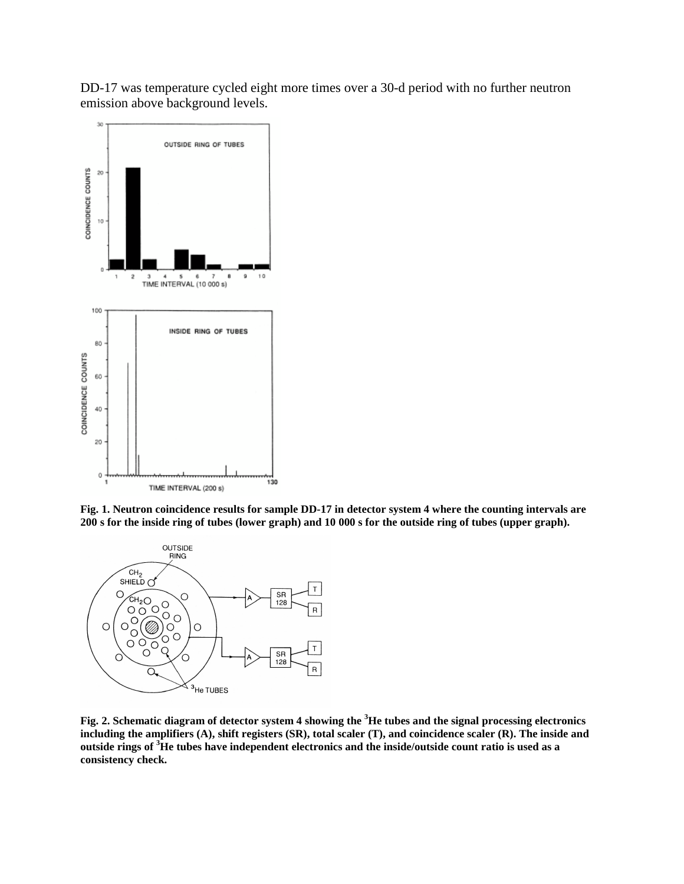DD-17 was temperature cycled eight more times over a 30-d period with no further neutron emission above background levels.



**Fig. 1. Neutron coincidence results for sample DD-17 in detector system 4 where the counting intervals are 200 s for the inside ring of tubes (lower graph) and 10 000 s for the outside ring of tubes (upper graph).**



**Fig. 2. Schematic diagram of detector system 4 showing the <sup>3</sup>He tubes and the signal processing electronics including the amplifiers (A), shift registers (SR), total scaler (T), and coincidence scaler (R). The inside and outside rings of <sup>3</sup>He tubes have independent electronics and the inside/outside count ratio is used as a consistency check.**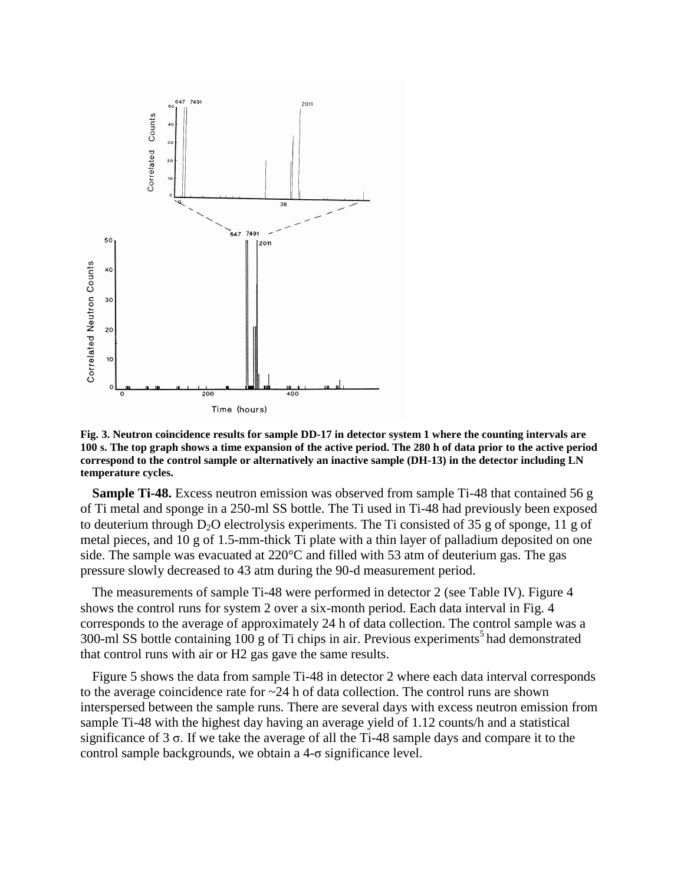

**Fig. 3. Neutron coincidence results for sample DD-17 in detector system 1 where the counting intervals are 100 s. The top graph shows a time expansion of the active period. The 280 h of data prior to the active period correspond to the control sample or alternatively an inactive sample (DH-13) in the detector including LN temperature cycles.**

**Sample Ti-48.** Excess neutron emission was observed from sample Ti-48 that contained 56 g of Ti metal and sponge in a 250-ml SS bottle. The Ti used in Ti-48 had previously been exposed to deuterium through  $D_2O$  electrolysis experiments. The Ti consisted of 35 g of sponge, 11 g of metal pieces, and 10 g of 1.5-mm-thick Ti plate with a thin layer of palladium deposited on one side. The sample was evacuated at 220°C and filled with 53 atm of deuterium gas. The gas pressure slowly decreased to 43 atm during the 90-d measurement period.

The measurements of sample Ti-48 were performed in detector 2 (see Table IV). Figure 4 shows the control runs for system 2 over a six-month period. Each data interval in Fig. 4 corresponds to the average of approximately 24 h of data collection. The control sample was a 300-ml SS bottle containing  $100$  g of Ti chips in air. Previous experiments<sup>5</sup> had demonstrated that control runs with air or H2 gas gave the same results.

Figure 5 shows the data from sample Ti-48 in detector 2 where each data interval corresponds to the average coincidence rate for  $\sim$  24 h of data collection. The control runs are shown interspersed between the sample runs. There are several days with excess neutron emission from sample Ti-48 with the highest day having an average yield of 1.12 counts/h and a statistical significance of  $3\sigma$ . If we take the average of all the Ti-48 sample days and compare it to the control sample backgrounds, we obtain a  $4-\sigma$  significance level.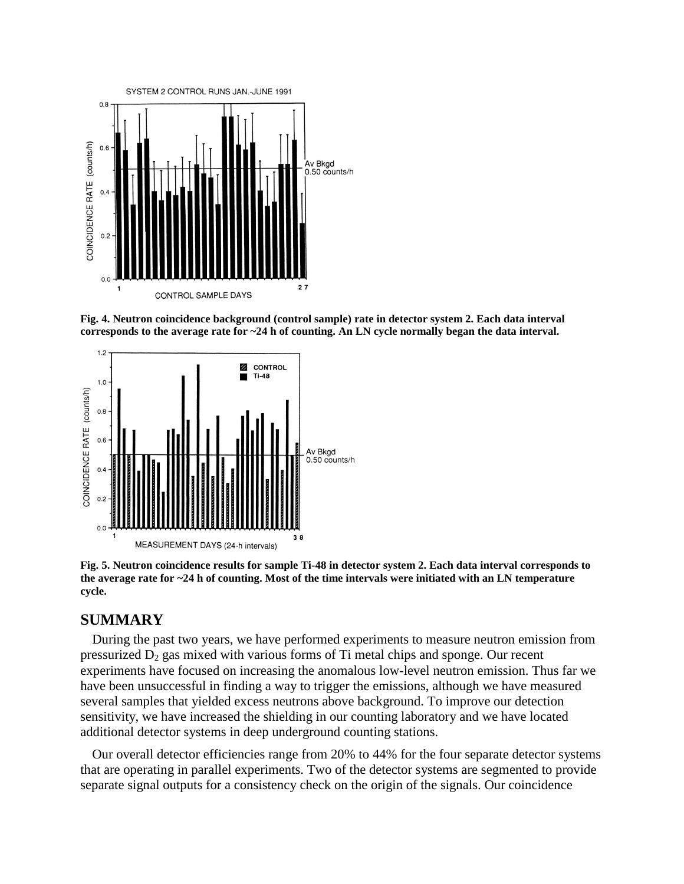

**Fig. 4. Neutron coincidence background (control sample) rate in detector system 2. Each data interval corresponds to the average rate for ~24 h of counting. An LN cycle normally began the data interval.**



**Fig. 5. Neutron coincidence results for sample Ti-48 in detector system 2. Each data interval corresponds to the average rate for ~24 h of counting. Most of the time intervals were initiated with an LN temperature cycle.**

## **SUMMARY**

During the past two years, we have performed experiments to measure neutron emission from pressurized  $D_2$  gas mixed with various forms of Ti metal chips and sponge. Our recent experiments have focused on increasing the anomalous low-level neutron emission. Thus far we have been unsuccessful in finding a way to trigger the emissions, although we have measured several samples that yielded excess neutrons above background. To improve our detection sensitivity, we have increased the shielding in our counting laboratory and we have located additional detector systems in deep underground counting stations.

Our overall detector efficiencies range from 20% to 44% for the four separate detector systems that are operating in parallel experiments. Two of the detector systems are segmented to provide separate signal outputs for a consistency check on the origin of the signals. Our coincidence